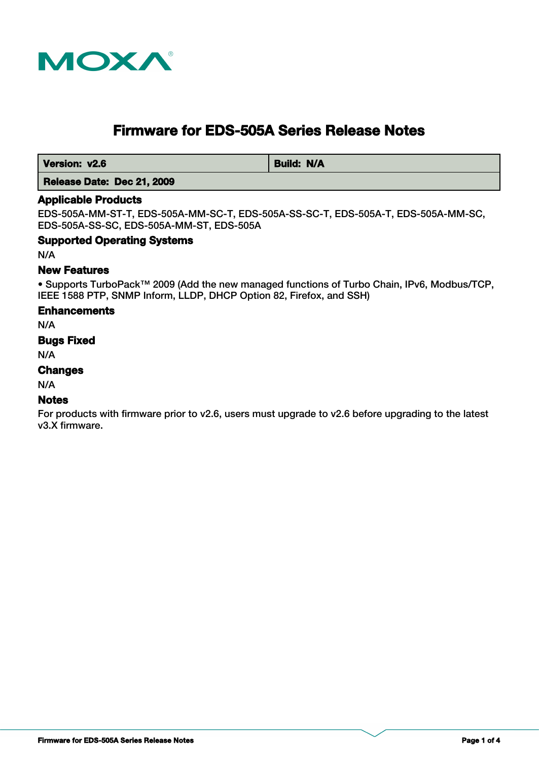

# **Firmware for EDS-505A Series Release Notes**

**Version: v2.6 Build: N/A** 

## **Release Date: Dec 21, 2009**

#### **Applicable Products**

EDS-505A-MM-ST-T, EDS-505A-MM-SC-T, EDS-505A-SS-SC-T, EDS-505A-T, EDS-505A-MM-SC, EDS-505A-SS-SC, EDS-505A-MM-ST, EDS-505A

#### **Supported Operating Systems**

N/A

#### **New Features**

• Supports TurboPack™ 2009 (Add the new managed functions of Turbo Chain, IPv6, Modbus/TCP, IEEE 1588 PTP, SNMP Inform, LLDP, DHCP Option 82, Firefox, and SSH)

#### **Enhancements**

N/A

#### **Bugs Fixed**

N/A

### **Changes**

N/A

#### **Notes**

For products with firmware prior to v2.6, users must upgrade to v2.6 before upgrading to the latest v3.X firmware.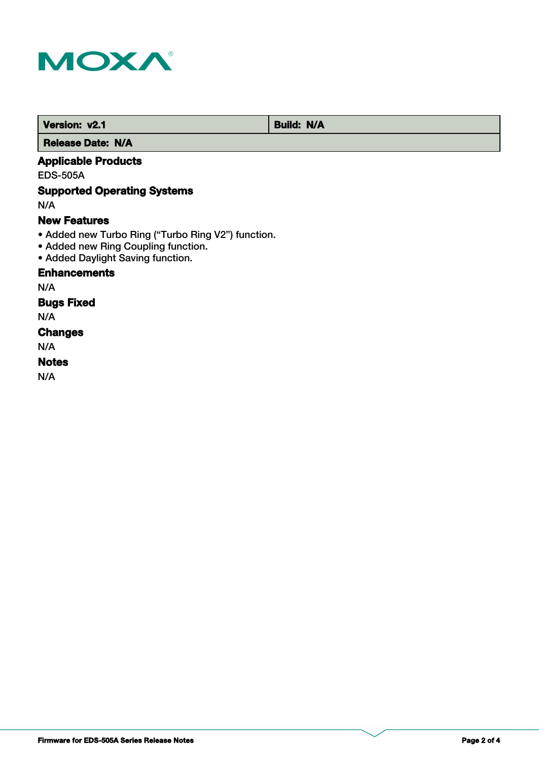

 **Version: v2.1 Build: N/A** 

 **Release Date: N/A**

## **Applicable Products**

EDS-505A

## **Supported Operating Systems**

N/A

### **New Features**

- Added new Turbo Ring ("Turbo Ring V2") function.
- Added new Ring Coupling function.
- Added Daylight Saving function.

## **Enhancements**

N/A

## **Bugs Fixed**

N/A

## **Changes**

N/A

## **Notes**

N/A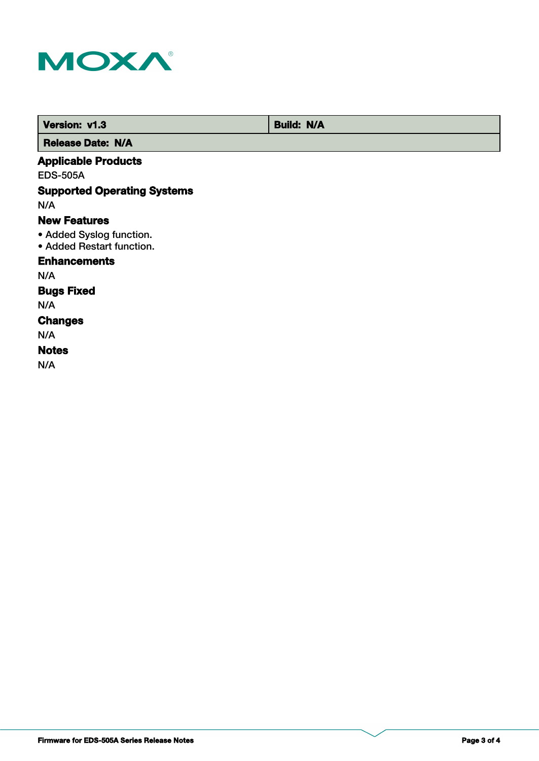

 **Version: v1.3 Build: N/A** 

 **Release Date: N/A**

## **Applicable Products**

EDS-505A

## **Supported Operating Systems**

N/A

### **New Features**

- Added Syslog function.
- Added Restart function.

## **Enhancements**

N/A

## **Bugs Fixed**

N/A

#### **Changes**

N/A

### **Notes**

N/A